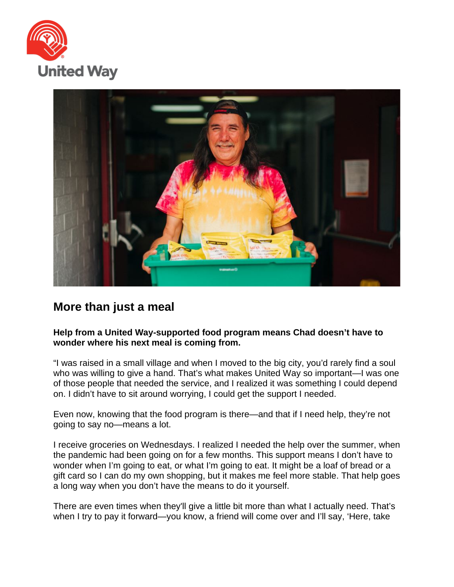



## **More than just a meal**

## **Help from a United Way-supported food program means Chad doesn't have to wonder where his next meal is coming from.**

"I was raised in a small village and when I moved to the big city, you'd rarely find a soul who was willing to give a hand. That's what makes United Way so important—I was one of those people that needed the service, and I realized it was something I could depend on. I didn't have to sit around worrying, I could get the support I needed.

Even now, knowing that the food program is there—and that if I need help, they're not going to say no—means a lot.

I receive groceries on Wednesdays. I realized I needed the help over the summer, when the pandemic had been going on for a few months. This support means I don't have to wonder when I'm going to eat, or what I'm going to eat. It might be a loaf of bread or a gift card so I can do my own shopping, but it makes me feel more stable. That help goes a long way when you don't have the means to do it yourself.

There are even times when they'll give a little bit more than what I actually need. That's when I try to pay it forward—you know, a friend will come over and I'll say, 'Here, take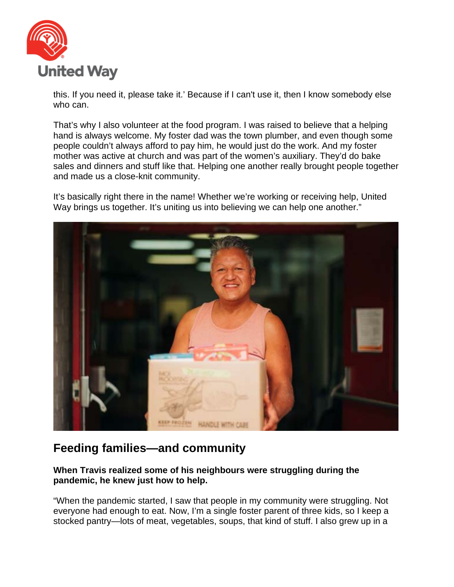

this. If you need it, please take it.' Because if I can't use it, then I know somebody else who can.

That's why I also volunteer at the food program. I was raised to believe that a helping hand is always welcome. My foster dad was the town plumber, and even though some people couldn't always afford to pay him, he would just do the work. And my foster mother was active at church and was part of the women's auxiliary. They'd do bake sales and dinners and stuff like that. Helping one another really brought people together and made us a close-knit community.

It's basically right there in the name! Whether we're working or receiving help, United Way brings us together. It's uniting us into believing we can help one another."



## **Feeding families—and community**

## **When Travis realized some of his neighbours were struggling during the pandemic, he knew just how to help.**

"When the pandemic started, I saw that people in my community were struggling. Not everyone had enough to eat. Now, I'm a single foster parent of three kids, so I keep a stocked pantry—lots of meat, vegetables, soups, that kind of stuff. I also grew up in a